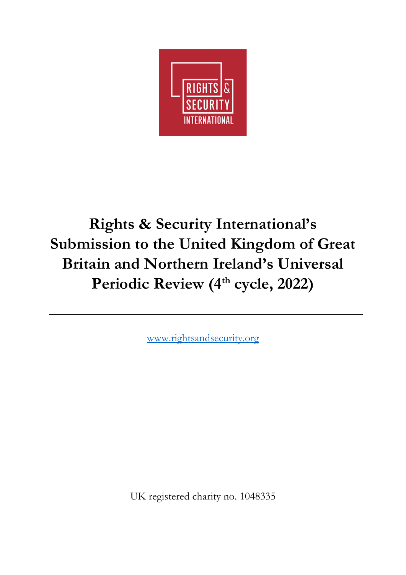

# **Rights & Security International's Submission to the United Kingdom of Great Britain and Northern Ireland's Universal**  Periodic Review (4<sup>th</sup> cycle, 2022)

[www.rightsandsecurity.org](http://www.rightsandsecurity.org/)

UK registered charity no. 1048335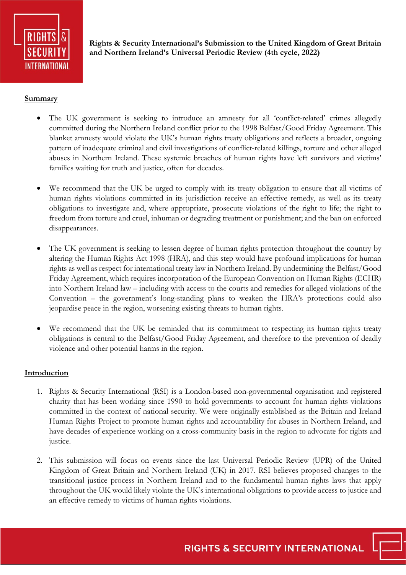

**Rights & Security International's Submission to the United Kingdom of Great Britain and Northern Ireland's Universal Periodic Review (4th cycle, 2022)**

# **Summary**

- The UK government is seeking to introduce an amnesty for all 'conflict-related' crimes allegedly committed during the Northern Ireland conflict prior to the 1998 Belfast/Good Friday Agreement. This blanket amnesty would violate the UK's human rights treaty obligations and reflects a broader, ongoing pattern of inadequate criminal and civil investigations of conflict-related killings, torture and other alleged abuses in Northern Ireland. These systemic breaches of human rights have left survivors and victims' families waiting for truth and justice, often for decades.
- We recommend that the UK be urged to comply with its treaty obligation to ensure that all victims of human rights violations committed in its jurisdiction receive an effective remedy, as well as its treaty obligations to investigate and, where appropriate, prosecute violations of the right to life; the right to freedom from torture and cruel, inhuman or degrading treatment or punishment; and the ban on enforced disappearances.
- The UK government is seeking to lessen degree of human rights protection throughout the country by altering the Human Rights Act 1998 (HRA), and this step would have profound implications for human rights as well as respect for international treaty law in Northern Ireland. By undermining the Belfast/Good Friday Agreement, which requires incorporation of the European Convention on Human Rights (ECHR) into Northern Ireland law – including with access to the courts and remedies for alleged violations of the Convention – the government's long-standing plans to weaken the HRA's protections could also jeopardise peace in the region, worsening existing threats to human rights.
- We recommend that the UK be reminded that its commitment to respecting its human rights treaty obligations is central to the Belfast/Good Friday Agreement, and therefore to the prevention of deadly violence and other potential harms in the region.

## **Introduction**

- 1. Rights & Security International (RSI) is a London-based non-governmental organisation and registered charity that has been working since 1990 to hold governments to account for human rights violations committed in the context of national security. We were originally established as the Britain and Ireland Human Rights Project to promote human rights and accountability for abuses in Northern Ireland, and have decades of experience working on a cross-community basis in the region to advocate for rights and justice.
- 2. This submission will focus on events since the last Universal Periodic Review (UPR) of the United Kingdom of Great Britain and Northern Ireland (UK) in 2017. RSI believes proposed changes to the transitional justice process in Northern Ireland and to the fundamental human rights laws that apply throughout the UK would likely violate the UK's international obligations to provide access to justice and an effective remedy to victims of human rights violations.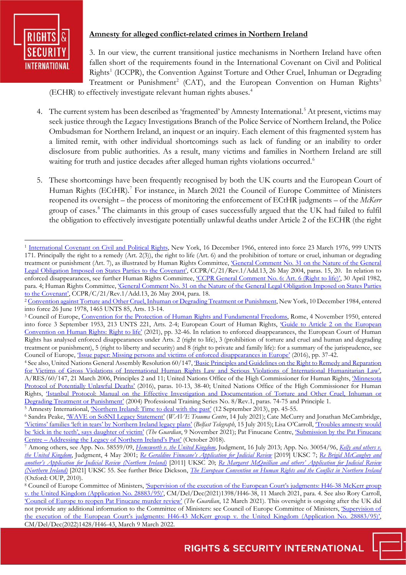

# **Amnesty for alleged conflict-related crimes in Northern Ireland**

3. In our view, the current transitional justice mechanisms in Northern Ireland have often fallen short of the requirements found in the International Covenant on Civil and Political Rights<sup>[1](#page-2-0)</sup> (ICCPR), the Convention Against Torture and Other Cruel, Inhuman or Degrading Treatment or Punishment<sup>[2](#page-2-1)</sup> (CAT), and the European Convention on Human Rights<sup>[3](#page-2-2)</sup>

(ECHR) to effectively investigate relevant human rights abuses.[4](#page-2-3)

- 4. The current system has been described as 'fragmented' by Amnesty International.<sup>[5](#page-2-4)</sup> At present, victims may seek justice through the Legacy Investigations Branch of the Police Service of Northern Ireland, the Police Ombudsman for Northern Ireland, an inquest or an inquiry. Each element of this fragmented system has a limited remit, with other individual shortcomings such as lack of funding or an inability to order disclosure from public authorities. As a result, many victims and families in Northern Ireland are still waiting for truth and justice decades after alleged human rights violations occurred.<sup>[6](#page-2-5)</sup>
- 5. These shortcomings have been frequently recognised by both the UK courts and the European Court of Human Rights (ECtHR).<sup>[7](#page-2-6)</sup> For instance, in March 2021 the Council of Europe Committee of Ministers reopened its oversight – the process of monitoring the enforcement of ECtHR judgments – of the *McKerr*  group of cases.[8](#page-2-7) The claimants in this group of cases successfully argued that the UK had failed to fulfil the obligation to effectively investigate potentially unlawful deaths under Article 2 of the ECHR (the right

<span id="page-2-0"></span><sup>&</sup>lt;sup>1</sup> [International Covenant on Civil and Political Rights,](https://treaties.un.org/doc/Treaties/1976/03/19760323%2006-17%20AM/Ch_IV_04.pdf) New York, 16 December 1966, entered into force 23 March 1976, 999 UNTS 171. Principally the right to a remedy (Art. 2(3)), the right to life (Art. 6) and the prohibition of torture or cruel, inhuman or degrading treatment or punishment (Art. 7), as illustrated by Human Rights Committee, 'General Comment No. 31 on the Nature of the General [Legal Obligation Imposed on States Parties to the Covenant',](https://www.un.org/en/ga/search/view_doc.asp?symbol=CCPR/C/21/Rev.1/Add.13) CCPR/C/21/Rev.1/Add.13, 26 May 2004, paras. 15, 20. In relation to enforced disappearances, see further Human Rights Committee, *CCPR General Comment No. 6: Art. 6 (Right to life)*', 30 April 1982, para. 4; Human Rights Committee[, 'General Comment No. 31 on the Nature of the General Legal Obligation Imposed on States Parties](https://www.un.org/en/ga/search/view_doc.asp?symbol=CCPR/C/21/Rev.1/Add.13)  [to the Covenant',](https://www.un.org/en/ga/search/view_doc.asp?symbol=CCPR/C/21/Rev.1/Add.13) CCPR/C/21/Rev.1/Add.13, 26 May 2004, para. 18.

<span id="page-2-1"></span><sup>&</sup>lt;sup>2</sup> [Convention against Torture and Other Cruel, Inhuman or Degrading Treatment or Punishment,](https://treaties.un.org/doc/Treaties/1987/06/19870626%2002-38%20AM/Ch_IV_9p.pdf) New York, 10 December 1984, entered into force 26 June 1978, 1465 UNTS 85, Arts. 13-14.

<span id="page-2-2"></span><sup>&</sup>lt;sup>3</sup> Council of Europe, [Convention for the Protection of Human Rights and Fundamental Freedoms,](https://treaties.un.org/pages/showDetails.aspx?objid=080000028014a40b) Rome, 4 November 1950, entered into force 3 September 1953, 213 UNTS 221, Arts. 2-4; European Court of Human Rights, ['Guide to Article 2 on the European](https://www.echr.coe.int/Documents/Guide_Art_2_ENG.pdf)  [Convention on Human Rights: Right to life'](https://www.echr.coe.int/Documents/Guide_Art_2_ENG.pdf) (2021), pp. 32-46. In relation to enforced disappearances, the European Court of Human Rights has analysed enforced disappearances under Arts. 2 (right to life), 3 (prohibition of torture and cruel and human and degrading treatment or punishment), 5 (right to liberty and security) and 8 (right to private and family life): for a summary of the jurisprudence, see Council of Europe, *Issue paper: Missing persons and victims of enforced disappearances in Europe'* (2016), pp. 37-42.

<span id="page-2-3"></span><sup>&</sup>lt;sup>4</sup> See also, United Nations General Assembly Resolution 60/147, <u>'Basic Principles</u> and Guidelines on the Right to Remedy and Reparation [for Victims of Gross Violations of International Human Rights Law and Serious Violations of International Humanitarian Law',](https://documents-dds-ny.un.org/doc/UNDOC/GEN/N05/496/42/PDF/N0549642.pdf?OpenElement) A/RES/60/147, 21 March 2006, Principles 2 and 11; United Nations Office of the High Commissioner for Human Rights, ['Minnesota](https://www.ohchr.org/sites/default/files/Documents/Publications/MinnesotaProtocol.pdf)  [Protocol of Potentially Unlawful Deaths'](https://www.ohchr.org/sites/default/files/Documents/Publications/MinnesotaProtocol.pdf) (2016), paras. 10-13, 38-40; United Nations Office of the High Commissioner for Human Rights, ['Istanbul Protocol: Manual on the Effective Investigation and Documentation of Torture and Other Cruel, Inhuman or](https://www.ohchr.org/sites/default/files/documents/publications/training8rev1en.pdf)  [Degrading Treatment or Punishment'](https://www.ohchr.org/sites/default/files/documents/publications/training8rev1en.pdf) (2004) Professional Training Series No. 8/Rev.1, paras. 74-75 and Principle 1. <sup>5</sup> Amnesty International, <u>'Northern Ireland: Time to deal with the past'</u> (12 September 2013), pp. 45-55.

<span id="page-2-5"></span><span id="page-2-4"></span><sup>6</sup> Sandra Peake[, 'WAVE on SoSNI Legacy Statement' \(](https://wavetraumacentre.org.uk/news/wave-on-sosni-legacy-statement/)*WAVE Trauma Centre*, 14 July 2021); Cate McCurry and Jonathan McCambridge, ['Victims' families 'left in tears' by Northern Ireland legacy plans'](https://www.belfasttelegraph.co.uk/news/northern-ireland/victims-families-left-in-tears-by-northern-ireland-legacy-plans-40657528.html) (*Belfast Telegraph*, 15 July 2015); Lisa O'Carroll, ['Troubles amnesty would](https://www.theguardian.com/uk-news/2021/nov/09/troubles-amnesty-would-be-kick-in-the-teeth-says-daughter-of-victim)  [be 'kick in the teeth', says daughter of victim' \(](https://www.theguardian.com/uk-news/2021/nov/09/troubles-amnesty-would-be-kick-in-the-teeth-says-daughter-of-victim)*The Guardian*, 9 November 2021); Pat Finucane Centre[, 'Submission by the Pat Finucane](https://www.patfinucanecentre.org/sites/default/files/2018-10/PFC%20Submission%20to%20NIO%204.10.18.pdf)  [Centre – Addressing the Legacy of Northern Ireland's Past'](https://www.patfinucanecentre.org/sites/default/files/2018-10/PFC%20Submission%20to%20NIO%204.10.18.pdf) (October 2018).

<span id="page-2-6"></span><sup>7</sup> Among others, see App. No. 58559/09, *[Hemsworth v. the United Kingdom](https://hudoc.echr.coe.int/eng?i=001-122371)*, Judgment, 16 July 2013; App. No. 30054/96, *[Kelly and others v.](https://hudoc.echr.coe.int/eng?i=001-59453)  [the United Kingdom](https://hudoc.echr.coe.int/eng?i=001-59453)*, Judgment, 4 May 2001; *[Re Geraldine Finucane's Application for Judicial Review](https://www.supremecourt.uk/cases/docs/uksc-2017-0058-judgment.pdf)* [2019] UKSC 7; *[Re Brigid McCaughey and](https://www.supremecourt.uk/cases/docs/uksc-2010-0101-judgment.pdf)  [another's Application for Judicial Review \(Northern Ireland\)](https://www.supremecourt.uk/cases/docs/uksc-2010-0101-judgment.pdf)* [2011] UKSC 20; *[Re Margaret McQuillian and others' Application for Judicial Review](https://www.supremecourt.uk/cases/docs/uksc-2020-0019-judgment.pdf)  [\(Northern Ireland\)](https://www.supremecourt.uk/cases/docs/uksc-2020-0019-judgment.pdf)* [2021] UKSC 55. See further Brice Dickson, *[The European Convention on Human Rights and the Conflict in Northern Ireland](https://oxford.universitypressscholarship.com/view/10.1093/acprof:oso/9780199571383.001.0001/acprof-9780199571383)* (Oxford: OUP, 2010).

<span id="page-2-7"></span><sup>&</sup>lt;sup>8</sup> Council of Europe Committee of Ministers, *Supervision of the execution of the European Court's judgments: H46-38 McKerr group* [v. the United Kingdom \(Application No. 28883/95\)',](https://search.coe.int/cm/Pages/result_details.aspx?ObjectID=0900001680a1b20e) CM/Del/Dec(2021)1398/H46-38, 11 March 2021, para. 4. See also Rory Carroll, ['Council of Europe to reopen Pat Finucane murder review'](https://www.theguardian.com/uk-news/2021/mar/12/council-of-europe-to-reopen-pat-finucane-investigation) (*The Guardian*, 12 March 2021). This oversight is ongoing after the UK did not provide any additional information to the Committee of Ministers: see Council of Europe Committee of Ministers, *'Supervision of* [the execution of the European Court's judgments: H46-43 McKerr group v. the United Kingdom \(Application No. 28883/95\)',](https://search.coe.int/cm/Pages/result_details.aspx?ObjectID=0900001680a5c3e2) CM/Del/Dec(2022)1428/H46-43, March 9 March 2022.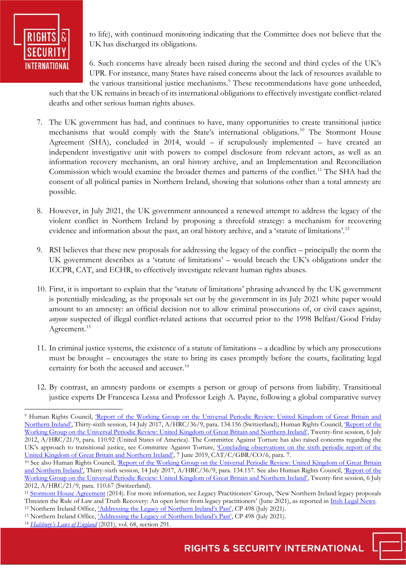

to life), with continued monitoring indicating that the Committee does not believe that the UK has discharged its obligations.

6. Such concerns have already been raised during the second and third cycles of the UK's UPR. For instance, many States have raised concerns about the lack of resources available to the various transitional justice mechanisms.<sup>[9](#page-3-0)</sup> These recommendations have gone unheeded,

such that the UK remains in breach of its international obligations to effectively investigate conflict-related deaths and other serious human rights abuses.

- 7. The UK government has had, and continues to have, many opportunities to create transitional justice mechanisms that would comply with the State's international obligations.<sup>[10](#page-3-1)</sup> The Stormont House Agreement (SHA), concluded in 2014, would – if scrupulously implemented – have created an independent investigative unit with powers to compel disclosure from relevant actors, as well as an information recovery mechanism, an oral history archive, and an Implementation and Reconciliation Commission which would examine the broader themes and patterns of the conflict.<sup>[11](#page-3-2)</sup> The SHA had the consent of all political parties in Northern Ireland, showing that solutions other than a total amnesty are possible.
- 8. However, in July 2021, the UK government announced a renewed attempt to address the legacy of the violent conflict in Northern Ireland by proposing a threefold strategy: a mechanism for recovering evidence and information about the past, an oral history archive, and a 'statute of limitations'.<sup>12</sup>
- 9. RSI believes that these new proposals for addressing the legacy of the conflict principally the norm the UK government describes as a 'statute of limitations' – would breach the UK's obligations under the ICCPR, CAT, and ECHR, to effectively investigate relevant human rights abuses.
- 10. First, it is important to explain that the 'statute of limitations' phrasing advanced by the UK government is potentially misleading, as the proposals set out by the government in its July 2021 white paper would amount to an amnesty: an official decision not to allow criminal prosecutions of, or civil cases against, *anyone* suspected of illegal conflict-related actions that occurred prior to the 1998 Belfast/Good Friday Agreement.<sup>13</sup>
- 11. In criminal justice systems, the existence of a statute of limitations a deadline by which any prosecutions must be brought – encourages the state to bring its cases promptly before the courts, facilitating legal certainty for both the accused and accuser.<sup>[14](#page-3-5)</sup>
- 12. By contrast, an amnesty pardons or exempts a person or group of persons from liability. Transitional justice experts Dr Francesca Lessa and Professor Leigh A. Payne, following a global comparative survey

<span id="page-3-0"></span><sup>&</sup>lt;sup>9</sup> Human Rights Council, 'Report of the Working Group on the Universal Periodic Review: United Kingdom of Great Britain and [Northern Ireland',](https://documents-dds-ny.un.org/doc/UNDOC/GEN/G17/192/15/PDF/G1719215.pdf?OpenElement) Thirty-sixth session, 14 July 2017, A/HRC/36/9, para. 134.156 (Switzerland); Human Rights Council, ['Report of the](https://documents-dds-ny.un.org/doc/UNDOC/GEN/G12/150/31/PDF/G1215031.pdf?OpenElement)  [Working Group on the Universal Periodic Review: United Kingdom of Great Britain and Northern Ireland',](https://documents-dds-ny.un.org/doc/UNDOC/GEN/G12/150/31/PDF/G1215031.pdf?OpenElement) Twenty-first session, 6 July 2012, A/HRC/21/9, para. 110.92 (United States of America). The Committee Against Torture has also raised concerns regarding the UK's approach to transitional justice, see Committee Against Torture, *Concluding observations on the sixth periodic report of the* [United Kingdom of Great Britain and Northern Ireland',](https://documents-dds-ny.un.org/doc/UNDOC/GEN/G19/154/71/PDF/G1915471.pdf?OpenElement) 7 June 2019, CAT/C/GBR/CO/6, para. 7.

<span id="page-3-1"></span><sup>&</sup>lt;sup>10</sup> See also Human Rights Council, *Report of the Working Group on the Universal Periodic Review: United Kingdom of Great Britain* [and Northern Ireland',](https://documents-dds-ny.un.org/doc/UNDOC/GEN/G17/192/15/PDF/G1719215.pdf?OpenElement) Thirty-sixth session, 14 July 2017, A/HRC/36/9, para. 134.157. See also Human Rights Council, Report of the [Working Group on the Universal Periodic Review: United Kingdom of Great Britain and Northern Ireland',](https://documents-dds-ny.un.org/doc/UNDOC/GEN/G12/150/31/PDF/G1215031.pdf?OpenElement) Twenty-first session, 6 July 2012, A/HRC/21/9, para. 110.67 (Switzerland).

<span id="page-3-2"></span><sup>&</sup>lt;sup>11</sup> [Stormont House Agreement](https://assets.publishing.service.gov.uk/government/uploads/system/uploads/attachment_data/file/390672/Stormont_House_Agreement.pdf) (2014). For more information, see Legacy Practitioners' Group, 'New Northern Ireland legacy proposals Threaten the Rule of Law and Truth Recovery: An open letter from legacy practitioners' (June 2021), as reported in Irish Legal News.<br><sup>12</sup> Northern Ireland Office, <u>'Addressing the Legacy of Northern Ireland's Past'</u>, CP 49

<span id="page-3-3"></span>

<span id="page-3-4"></span><sup>&</sup>lt;sup>13</sup> Northern Ireland Office, *'Addressing the Legacy of Northern Ireland's Past'*, CP 498 (July 2021).

<span id="page-3-5"></span><sup>14</sup> *[Halsbury's Laws of England](https://www.lexisnexis.co.uk/legal/commentary/halsburys-laws-of-england/limitation-periods)* (2021), vol. 68, section 291.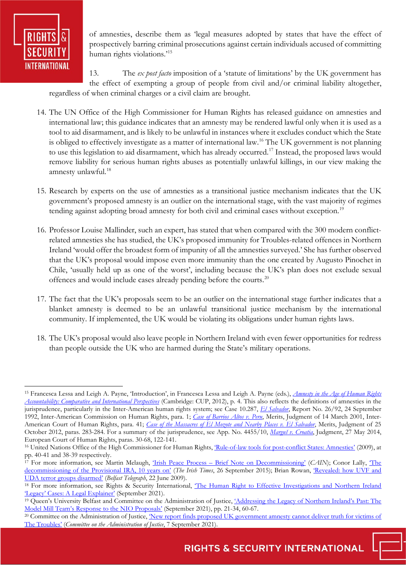

of amnesties, describe them as 'legal measures adopted by states that have the effect of prospectively barring criminal prosecutions against certain individuals accused of committing human rights violations.<sup>[15](#page-4-0)</sup>

13. The *ex post facto* imposition of a 'statute of limitations' by the UK government has the effect of exempting a group of people from civil and/or criminal liability altogether, regardless of when criminal charges or a civil claim are brought.

- 14. The UN Office of the High Commissioner for Human Rights has released guidance on amnesties and international law; this guidance indicates that an amnesty may be rendered lawful only when it is used as a tool to aid disarmament, and is likely to be unlawful in instances where it excludes conduct which the State is obliged to effectively investigate as a matter of international law.[16](#page-4-1) The UK government is not planning to use this legislation to aid disarmament, which has already occurred[.17](#page-4-2) Instead, the proposed laws would remove liability for serious human rights abuses as potentially unlawful killings, in our view making the amnesty unlawful.<sup>18</sup>
- 15. Research by experts on the use of amnesties as a transitional justice mechanism indicates that the UK government's proposed amnesty is an outlier on the international stage, with the vast majority of regimes tending against adopting broad amnesty for both civil and criminal cases without exception.<sup>[19](#page-4-4)</sup>
- 16. Professor Louise Mallinder, such an expert, has stated that when compared with the 300 modern conflictrelated amnesties she has studied, the UK's proposed immunity for Troubles-related offences in Northern Ireland 'would offer the broadest form of impunity of all the amnesties surveyed.' She has further observed that the UK's proposal would impose even more immunity than the one created by Augusto Pinochet in Chile, 'usually held up as one of the worst', including because the UK's plan does not exclude sexual offences and would include cases already pending before the courts.[20](#page-4-5)
- 17. The fact that the UK's proposals seem to be an outlier on the international stage further indicates that a blanket amnesty is deemed to be an unlawful transitional justice mechanism by the international community. If implemented, the UK would be violating its obligations under human rights laws.
- 18. The UK's proposal would also leave people in Northern Ireland with even fewer opportunities for redress than people outside the UK who are harmed during the State's military operations.

<span id="page-4-0"></span><sup>15</sup> Francesca Lessa and Leigh A. Payne, 'Introduction', in Francesca Lessa and Leigh A. Payne (eds.), *[Amnesty in the Age of Human Rights](https://www.cambridge.org/core/books/amnesty-in-the-age-of-human-rights-accountability/F03FCEECD49FF77E9DBC1C2CA3F18697)  [Accountability: Comparative and International Perspectives](https://www.cambridge.org/core/books/amnesty-in-the-age-of-human-rights-accountability/F03FCEECD49FF77E9DBC1C2CA3F18697)* (Cambridge: CUP, 2012), p. 4. This also reflects the definitions of amnesties in the jurisprudence, particularly in the Inter-American human rights system; see Case 10.287, *[El Salvador](https://www.cidh.oas.org/annualrep/92eng/ElSalvador10.287.htm)*, Report No. 26/92, 24 September 1992, Inter-American Commission on Human Rights, para. 1; *[Case of Barrios Altos v. Peru](https://www.corteidh.or.cr/corteidh/docs/casos/articulos/seriec_75_ing.pdf)*, Merits, Judgment of 14 March 2001, Inter-American Court of Human Rights, para. 41; *[Case of the Massacres of El Mozote and Nearby Places v. El Salvador](https://www.corteidh.or.cr/docs/casos/articulos/seriec_252_ing1.pdf)*, Merits, Judgment of 25 October 2012, paras. 283-284. For a summary of the jurisprudence, see App. No. 4455/10, *[Marguš v. Croatia](https://hudoc.echr.coe.int/eng?i=001-144276)*, Judgment, 27 May 2014, European Court of Human Rights, paras. 30-68, 122-141.

<span id="page-4-1"></span><sup>&</sup>lt;sup>16</sup> United Nations Office of the High Commissioner for Human Rights, *Rule-of-law tools for post-conflict States: Amnesties'* (2009), at pp. 40-41 and 38-39 respectively.

<span id="page-4-2"></span><sup>17</sup> For more information, see Martin Melaugh, ['Irish Peace Process – Brief Note on Decommissioning'](https://cain.ulster.ac.uk/events/peace/decommission.htm) (*CAIN*); Conor Lally, ['The](https://www.irishtimes.com/news/crime-and-law/the-decommissioning-of-the-provisional-ira-10-years-on-1.2367009)  [decommissioning of the Provisional IRA, 10 years on'](https://www.irishtimes.com/news/crime-and-law/the-decommissioning-of-the-provisional-ira-10-years-on-1.2367009) (*The Irish Times*, 26 September 2015); Brian Rowan, ['Revealed: how UVF and](https://www.belfasttelegraph.co.uk/news/revealed-how-uvf-and-uda-terror-groups-disarmed-28484001.html)  [UDA terror groups disarmed'](https://www.belfasttelegraph.co.uk/news/revealed-how-uvf-and-uda-terror-groups-disarmed-28484001.html) (*Belfast Telegraph*, 22 June 2009).

<span id="page-4-3"></span><sup>&</sup>lt;sup>18</sup> For more information, see Rights & Security International, The Human Right to Effective Investigations and Northern Ireland ['Legacy' Cases: A Legal Explainer'](https://www.rightsandsecurity.org/assets/downloads/210916_Legacy_Legal_Brief_Final.pdf) (September 2021).

<span id="page-4-4"></span><sup>&</sup>lt;sup>19</sup> Queen's University Belfast and Committee on the Administration of Justice, *'Addressing the Legacy of Northern Ireland's Past: The* [Model Mill Team's Response to the NIO Proposals'](https://www.dealingwiththepastni.com/assets/Model-Bill-Team-Response-to-the-UK-Government-Command-Paper-on-Legacy-in-NI-Final-3.09.21-(1).pdf) (September 2021), pp. 21-34, 60-67.

<span id="page-4-5"></span><sup>&</sup>lt;sup>20</sup> Committee on the Administration of Justice, New report finds proposed UK government amnesty cannot deliver truth for victims of [The Troubles'](https://caj.org.uk/2021/09/07/new-report-finds-proposed-uk-government-amnesty-cannot-deliver-truth-for-victims-of-the-troubles/) (*Committee on the Administration of Justice*, 7 September 2021).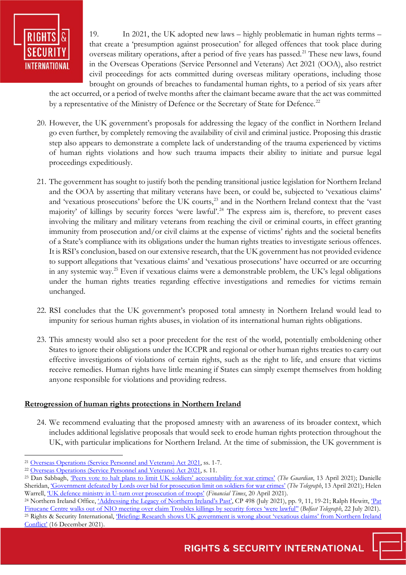

19. In 2021, the UK adopted new laws – highly problematic in human rights terms – that create a 'presumption against prosecution' for alleged offences that took place during overseas military operations, after a period of five years has passed.<sup>21</sup> These new laws, found in the Overseas Operations (Service Personnel and Veterans) Act 2021 (OOA), also restrict civil proceedings for acts committed during overseas military operations, including those brought on grounds of breaches to fundamental human rights, to a period of six years after

the act occurred, or a period of twelve months after the claimant became aware that the act was committed by a representative of the Ministry of Defence or the Secretary of State for Defence.<sup>22</sup>

- 20. However, the UK government's proposals for addressing the legacy of the conflict in Northern Ireland go even further, by completely removing the availability of civil and criminal justice. Proposing this drastic step also appears to demonstrate a complete lack of understanding of the trauma experienced by victims of human rights violations and how such trauma impacts their ability to initiate and pursue legal proceedings expeditiously.
- 21. The government has sought to justify both the pending transitional justice legislation for Northern Ireland and the OOA by asserting that military veterans have been, or could be, subjected to 'vexatious claims' and 'vexatious prosecutions' before the UK courts,<sup>[23](#page-5-2)</sup> and in the Northern Ireland context that the 'vast majority' of killings by security forces 'were lawful'.<sup>[24](#page-5-3)</sup> The express aim is, therefore, to prevent cases involving the military and military veterans from reaching the civil or criminal courts, in effect granting immunity from prosecution and/or civil claims at the expense of victims' rights and the societal benefits of a State's compliance with its obligations under the human rights treaties to investigate serious offences. It is RSI's conclusion, based on our extensive research, that the UK government has not provided evidence to support allegations that 'vexatious claims' and 'vexatious prosecutions' have occurred or are occurring in any systemic way.[25](#page-5-4) Even if vexatious claims were a demonstrable problem, the UK's legal obligations under the human rights treaties regarding effective investigations and remedies for victims remain unchanged.
- 22. RSI concludes that the UK government's proposed total amnesty in Northern Ireland would lead to impunity for serious human rights abuses, in violation of its international human rights obligations.
- 23. This amnesty would also set a poor precedent for the rest of the world, potentially emboldening other States to ignore their obligations under the ICCPR and regional or other human rights treaties to carry out effective investigations of violations of certain rights, such as the right to life, and ensure that victims receive remedies. Human rights have little meaning if States can simply exempt themselves from holding anyone responsible for violations and providing redress.

#### **Retrogression of human rights protections in Northern Ireland**

24. We recommend evaluating that the proposed amnesty with an awareness of its broader context, which includes additional legislative proposals that would seek to erode human rights protection throughout the UK, with particular implications for Northern Ireland. At the time of submission, the UK government is

<span id="page-5-0"></span><sup>21</sup> [Overseas Operations \(Service Personnel and Veterans\) Act 2021,](https://www.legislation.gov.uk/ukpga/2021/23/contents/enacted) ss. 1-7.

<span id="page-5-1"></span><sup>&</sup>lt;sup>22</sup> [Overseas Operations \(Service Personnel and Veterans\) Act 2021,](https://www.legislation.gov.uk/ukpga/2021/23/contents/enacted) s. 11.

<span id="page-5-2"></span><sup>23</sup> Dan Sabbagh, ['Peers vote to halt plans to limit UK soldiers' accountability for war crimes'](https://www.theguardian.com/uk-news/2021/apr/13/peers-seek-to-block-limit-on-uk-soldiers-accountability-for-war-crimes) (*The Guardian*, 13 April 2021); Danielle Sheridan[, 'Government defeated by Lords over bid for prosecution limit on soldiers for war crimes' \(](https://www.telegraph.co.uk/politics/2021/04/13/government-defeated-lords-bid-prosecution-limit-soldiers-war/)*The Telegraph*, 13 April 2021); Helen Warrell, ['UK defence ministry in U-turn over prosecution of troops'](https://www.ft.com/content/2f6db6f2-7cfe-4044-b3c4-af8f8b783007) (*Financial Times*, 20 April 2021).

<span id="page-5-4"></span><span id="page-5-3"></span><sup>&</sup>lt;sup>24</sup> Northern Ireland Office, *Addressing the Legacy of Northern Ireland's Past*', CP 498 (July 2021), pp. 9, 11, 19-21; Ralph Hewitt, *Pat* [Finucane Centre walks out of NIO meeting over claim](https://www.belfasttelegraph.co.uk/news/northern-ireland/pat-finucane-centre-walks-out-of-nio-meeting-over-claim-troubles-killings-by-security-forces-were-lawful-40680028.html) Troubles killings by security forces 'were lawful'' (*Belfast Telegraph*, 22 July 2021). <sup>25</sup> Rights & Security International, *Briefing: Research shows UK government is wrong about 'vexatious claims' from Northern Ireland* [Conflict'](https://www.rightsandsecurity.org/impact/entry/briefing-research-shows-uk-government-is-wrong-about-vexatious-claims-from-northern-ireland-conflict) (16 December 2021).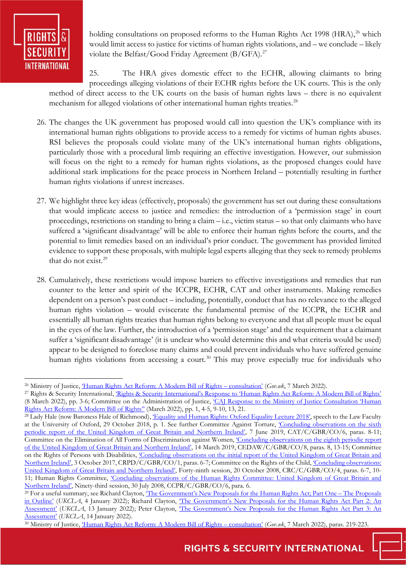

holding consultations on proposed reforms to the Human Rights Act 1998 (HRA), $^{26}$  which would limit access to justice for victims of human rights violations, and – we conclude – likely violate the Belfast/Good Friday Agreement  $(B/GFA)$ .<sup>[27](#page-6-1)</sup>

25. The HRA gives domestic effect to the ECHR, allowing claimants to bring proceedings alleging violations of their ECHR rights before the UK courts. This is the only method of direct access to the UK courts on the basis of human rights laws – there is no equivalent mechanism for alleged violations of other international human rights treaties.<sup>[28](#page-6-2)</sup>

- 26. The changes the UK government has proposed would call into question the UK's compliance with its international human rights obligations to provide access to a remedy for victims of human rights abuses. RSI believes the proposals could violate many of the UK's international human rights obligations, particularly those with a procedural limb requiring an effective investigation. However, our submission will focus on the right to a remedy for human rights violations, as the proposed changes could have additional stark implications for the peace process in Northern Ireland – potentially resulting in further human rights violations if unrest increases.
- 27. We highlight three key ideas (effectively, proposals) the government has set out during these consultations that would implicate access to justice and remedies: the introduction of a 'permission stage' in court proceedings, restrictions on standing to bring a claim – i.e., victim status – so that only claimants who have suffered a 'significant disadvantage' will be able to enforce their human rights before the courts, and the potential to limit remedies based on an individual's prior conduct. The government has provided limited evidence to support these proposals, with multiple legal experts alleging that they seek to remedy problems that do not exist.[29](#page-6-3)
- 28. Cumulatively, these restrictions would impose barriers to effective investigations and remedies that run counter to the letter and spirit of the ICCPR, ECHR, CAT and other instruments. Making remedies dependent on a person's past conduct – including, potentially, conduct that has no relevance to the alleged human rights violation – would eviscerate the fundamental premise of the ICCPR, the ECHR and essentially all human rights treaties that human rights belong to everyone and that all people must be equal in the eyes of the law. Further, the introduction of a 'permission stage' and the requirement that a claimant suffer a 'significant disadvantage' (it is unclear who would determine this and what criteria would be used) appear to be designed to foreclose many claims and could prevent individuals who have suffered genuine human rights violations from accessing a court.<sup>[30](#page-6-4)</sup> This may prove especially true for individuals who

<span id="page-6-0"></span><sup>26</sup> Ministry of Justice, ['Human Rights Act Reform: A Modern Bill of Rights – consultation'](https://www.gov.uk/government/consultations/human-rights-act-reform-a-modern-bill-of-rights/human-rights-act-reform-a-modern-bill-of-rights-consultation#questionnaire) (*Gov.uk*, 7 March 2022).

<span id="page-6-1"></span><sup>&</sup>lt;sup>27</sup> Rights & Security International, *Rights & Security International's Response to 'Human Rights Act Reform: A Modern Bill of Rights'* (8 March 2022), pp. 3-6; Committee on the Administration of Justice, ['CAJ Response to the Ministry of Justice Consultation 'Human](https://caj.org.uk/wp-content/uploads/2022/03/Response-to-HRA-reform-consultation.pdf)  [Rights Act Reform: A Modern Bill of Rights''](https://caj.org.uk/wp-content/uploads/2022/03/Response-to-HRA-reform-consultation.pdf) (March 2022), pp. 1, 4-5, 9-10, 13, 21.

<span id="page-6-2"></span><sup>&</sup>lt;sup>28</sup> Lady Hale (now Baroness Hale of Richmond), *Equality and Human Rights: Oxford Equality Lecture 2018*, speech to the Law Faculty at the University of Oxford, 29 October 2018, p. 1. See further Committee Against Torture, ['Concluding observations on the sixth](https://documents-dds-ny.un.org/doc/UNDOC/GEN/G19/154/71/PDF/G1915471.pdf?OpenElement)  [periodic report of the United Kingdom of Great Britain and Northern Ireland',](https://documents-dds-ny.un.org/doc/UNDOC/GEN/G19/154/71/PDF/G1915471.pdf?OpenElement) 7 June 2019, CAT/C/GBR/CO/6, paras. 8-11; Committee on the Elimination of All Forms of Discrimination against Women, ['Concluding observations on the eighth periodic report](https://documents-dds-ny.un.org/doc/UNDOC/GEN/N19/072/08/PDF/N1907208.pdf?OpenElement)  [of the United Kingdom of Great Britain and Northern Ireland',](https://documents-dds-ny.un.org/doc/UNDOC/GEN/N19/072/08/PDF/N1907208.pdf?OpenElement) 14 March 2019, CEDAW/C/GBR/CO/8, paras. 8, 13-15; Committee on the Rights of Persons with Disabilities, 'Concluding observations on the initial report of the United Kingdom of Great Britain and [Northern Ireland',](https://documents-dds-ny.un.org/doc/UNDOC/GEN/G17/289/29/PDF/G1728929.pdf?OpenElement) 3 October 2017, CRPD/C/GBR/CO/1, paras. 6-7; Committee on the Rights of the Child, ['Concluding observations:](https://documents-dds-ny.un.org/doc/UNDOC/GEN/G08/445/74/PDF/G0844574.pdf?OpenElement)  [United Kingdom of Great Britain and Northern Ireland',](https://documents-dds-ny.un.org/doc/UNDOC/GEN/G08/445/74/PDF/G0844574.pdf?OpenElement) Forty-ninth session, 20 October 2008, CRC/C/GBR/CO/4, paras. 6-7, 10- 11; Human Rights Committee, 'Concluding observations of the Human Rights Committee: United Kingdom of Great Britain and [Northern Ireland',](https://documents-dds-ny.un.org/doc/UNDOC/GEN/G08/433/42/PDF/G0843342.pdf?OpenElement) Ninety-third session, 30 July 2008, CCPR/C/GBR/CO/6, para. 6.

<span id="page-6-3"></span><sup>&</sup>lt;sup>29</sup> For a useful summary, see Richard Clayton, *The Government's New Proposals for the Human Rights Act*; Part One – The Proposals [in Outline'](https://ukconstitutionallaw.org/2022/01/04/richard-clayton-the-governments-new-proposals-for-the-human-rights-act-part-one-the-proposals-in-outline/) (UKCLA, 4 January 2022); Richard Clayton, The Government's New Proposals for the Human Rights Act Part 2: An [Assessment'](https://ukconstitutionallaw.org/2022/01/13/richard-clayton-qc-the-governments-new-proposals-for-the-human-rights-act-part-2-an-assessment/) (*UKCLA*, 13 January 2022); Peter Clayton, ['The Government's New Proposals for the Human Rights Act Part 3: An](https://ukconstitutionallaw.org/2022/01/14/richard-clayton-qc-the-governments-new-proposals-for-the-human-rights-act-part-3-an-assessment/)  [Assessment'](https://ukconstitutionallaw.org/2022/01/14/richard-clayton-qc-the-governments-new-proposals-for-the-human-rights-act-part-3-an-assessment/) (*UKCLA*, 14 January 2022).

<span id="page-6-4"></span><sup>30</sup> Ministry of Justice, ['Human Rights Act Reform: A Modern Bill of Rights – consultation'](https://www.gov.uk/government/consultations/human-rights-act-reform-a-modern-bill-of-rights/human-rights-act-reform-a-modern-bill-of-rights-consultation#questionnaire) (*Gov.uk*, 7 March 2022), paras. 219-223.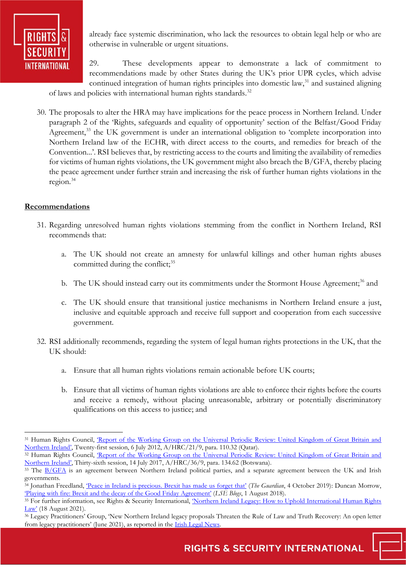

already face systemic discrimination, who lack the resources to obtain legal help or who are otherwise in vulnerable or urgent situations.

29. These developments appear to demonstrate a lack of commitment to recommendations made by other States during the UK's prior UPR cycles, which advise continued integration of human rights principles into domestic law, $31$  and sustained aligning

of laws and policies with international human rights standards.<sup>32</sup>

30. The proposals to alter the HRA may have implications for the peace process in Northern Ireland. Under paragraph 2 of the 'Rights, safeguards and equality of opportunity' section of the Belfast/Good Friday Agreement,<sup>33</sup> the UK government is under an international obligation to 'complete incorporation into Northern Ireland law of the ECHR, with direct access to the courts, and remedies for breach of the Convention...'. RSI believes that, by restricting access to the courts and limiting the availability of remedies for victims of human rights violations, the UK government might also breach the B/GFA, thereby placing the peace agreement under further strain and increasing the risk of further human rights violations in the region.[34](#page-7-3)

## **Recommendations**

- 31. Regarding unresolved human rights violations stemming from the conflict in Northern Ireland, RSI recommends that:
	- a. The UK should not create an amnesty for unlawful killings and other human rights abuses committed during the conflict;<sup>[35](#page-7-4)</sup>
	- b. The UK should instead carry out its commitments under the Stormont House Agreement;<sup>[36](#page-7-5)</sup> and
	- c. The UK should ensure that transitional justice mechanisms in Northern Ireland ensure a just, inclusive and equitable approach and receive full support and cooperation from each successive government.
- 32. RSI additionally recommends, regarding the system of legal human rights protections in the UK, that the UK should:
	- a. Ensure that all human rights violations remain actionable before UK courts;
	- b. Ensure that all victims of human rights violations are able to enforce their rights before the courts and receive a remedy, without placing unreasonable, arbitrary or potentially discriminatory qualifications on this access to justice; and

<span id="page-7-0"></span><sup>&</sup>lt;sup>31</sup> Human Rights Council, *'Report of the Working Group on the Universal Periodic Review: United Kingdom of Great Britain and* [Northern Ireland',](https://documents-dds-ny.un.org/doc/UNDOC/GEN/G12/150/31/PDF/G1215031.pdf?OpenElement) Twenty-first session, 6 July 2012, A/HRC/21/9, para. 110.32 (Qatar).

<span id="page-7-1"></span><sup>&</sup>lt;sup>32</sup> Human Rights Council, *Report of the Working Group on the Universal Periodic Review: United Kingdom of Great Britain and* [Northern Ireland',](https://documents-dds-ny.un.org/doc/UNDOC/GEN/G17/192/15/PDF/G1719215.pdf?OpenElement) Thirty-sixth session, 14 July 2017, A/HRC/36/9, para. 134.62 (Botswana).

<span id="page-7-2"></span><sup>&</sup>lt;sup>33</sup> The [B/GFA](https://assets.publishing.service.gov.uk/government/uploads/system/uploads/attachment_data/file/1034123/The_Belfast_Agreement_An_Agreement_Reached_at_the_Multi-Party_Talks_on_Northern_Ireland.pdf) is an agreement between Northern Ireland political parties, and a separate agreement between the UK and Irish governments.

<span id="page-7-3"></span><sup>&</sup>lt;sup>34</sup> Jonathan Freedland, <u>'Peace in Ireland is precious. Brexit has made us forget that'</u> (*The Guardian*, 4 October 2019): Duncan Morrow, ['Playing with fire: Brexit and the decay of the Good Friday Agreement'](https://blogs.lse.ac.uk/brexit/2018/08/01/playing-with-fire-brexit-and-the-decay-of-the-good-friday-agreement/) (*LSE Blogs*, 1 August 2018).

<span id="page-7-4"></span><sup>&</sup>lt;sup>35</sup> For further information, see Rights & Security International, 'Northern Ireland Legacy: How to Uphold International Human Rights [Law'](https://www.rightsandsecurity.org/impact/entry/northern-ireland-legacy-how-to-uphold-international-human-rights-law) (18 August 2021).

<span id="page-7-5"></span><sup>&</sup>lt;sup>36</sup> Legacy Practitioners' Group, 'New Northern Ireland legacy proposals Threaten the Rule of Law and Truth Recovery: An open letter from legacy practitioners' (June 2021), as reported in the **Irish Legal News**.